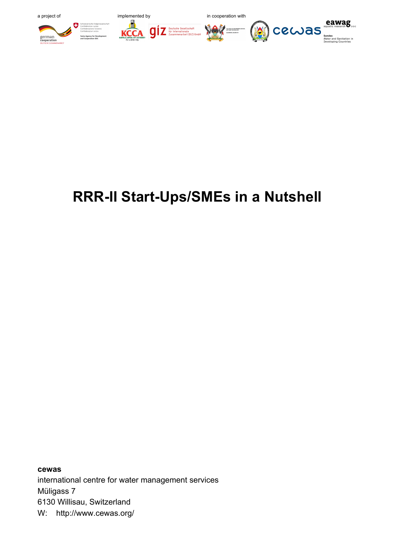

# **RRR-II Start-Ups/SMEs in a Nutshell**

**cewas** international centre for water management services Müligass 7 6130 Willisau, Switzerland W: http://www.cewas.org/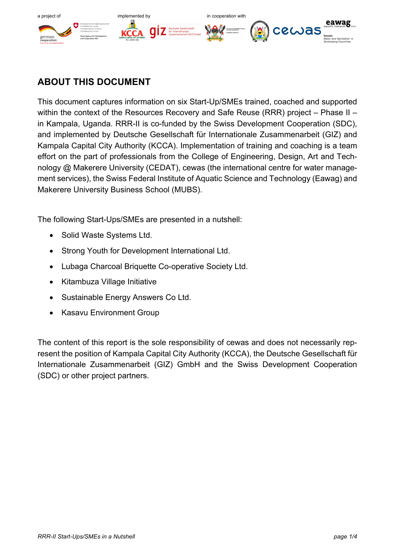

# **ABOUT THIS DOCUMENT**

This document captures information on six Start-Up/SMEs trained, coached and supported within the context of the Resources Recovery and Safe Reuse (RRR) project – Phase II – in Kampala, Uganda. RRR-II is co-funded by the Swiss Development Cooperation (SDC), and implemented by Deutsche Gesellschaft für Internationale Zusammenarbeit (GIZ) and Kampala Capital City Authority (KCCA). Implementation of training and coaching is a team effort on the part of professionals from the College of Engineering, Design, Art and Technology @ Makerere University (CEDAT), cewas (the international centre for water management services), the Swiss Federal Institute of Aquatic Science and Technology (Eawag) and Makerere University Business School (MUBS).

The following Start-Ups/SMEs are presented in a nutshell:

- Solid Waste Systems Ltd.
- Strong Youth for Development International Ltd.
- Lubaga Charcoal Briquette Co-operative Society Ltd.
- Kitambuza Village Initiative
- Sustainable Energy Answers Co Ltd.
- Kasavu Environment Group

The content of this report is the sole responsibility of cewas and does not necessarily represent the position of Kampala Capital City Authority (KCCA), the Deutsche Gesellschaft für Internationale Zusammenarbeit (GIZ) GmbH and the Swiss Development Cooperation (SDC) or other project partners.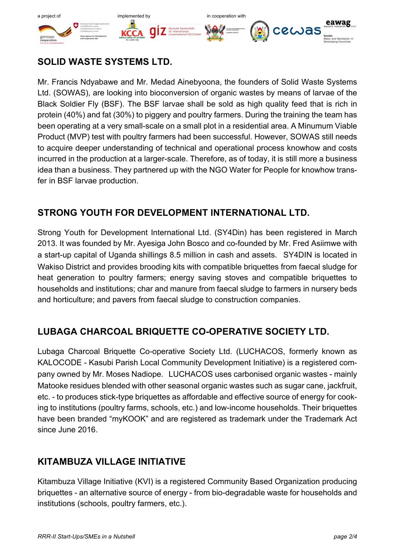

### **SOLID WASTE SYSTEMS LTD.**

Mr. Francis Ndyabawe and Mr. Medad Ainebyoona, the founders of Solid Waste Systems Ltd. (SOWAS), are looking into bioconversion of organic wastes by means of larvae of the Black Soldier Fly (BSF). The BSF larvae shall be sold as high quality feed that is rich in protein (40%) and fat (30%) to piggery and poultry farmers. During the training the team has been operating at a very small-scale on a small plot in a residential area. A Minumum Viable Product (MVP) test with poultry farmers had been successful. However, SOWAS still needs to acquire deeper understanding of technical and operational process knowhow and costs incurred in the production at a larger-scale. Therefore, as of today, it is still more a business idea than a business. They partnered up with the NGO Water for People for knowhow transfer in BSF larvae production.

#### **STRONG YOUTH FOR DEVELOPMENT INTERNATIONAL LTD.**

Strong Youth for Development International Ltd. (SY4Din) has been registered in March 2013. It was founded by Mr. Ayesiga John Bosco and co-founded by Mr. Fred Asiimwe with a start-up capital of Uganda shillings 8.5 million in cash and assets. SY4DIN is located in Wakiso District and provides brooding kits with compatible briquettes from faecal sludge for heat generation to poultry farmers; energy saving stoves and compatible briquettes to households and institutions; char and manure from faecal sludge to farmers in nursery beds and horticulture; and pavers from faecal sludge to construction companies.

#### **LUBAGA CHARCOAL BRIQUETTE CO-OPERATIVE SOCIETY LTD.**

Lubaga Charcoal Briquette Co-operative Society Ltd. (LUCHACOS, formerly known as KALOCODE - Kasubi Parish Local Community Development Initiative) is a registered company owned by Mr. Moses Nadiope. LUCHACOS uses carbonised organic wastes - mainly Matooke residues blended with other seasonal organic wastes such as sugar cane, jackfruit, etc. - to produces stick-type briquettes as affordable and effective source of energy for cooking to institutions (poultry farms, schools, etc.) and low-income households. Their briquettes have been branded "myKOOK" and are registered as trademark under the Trademark Act since June 2016.

#### **KITAMBUZA VILLAGE INITIATIVE**

Kitambuza Village Initiative (KVI) is a registered Community Based Organization producing briquettes - an alternative source of energy - from bio-degradable waste for households and institutions (schools, poultry farmers, etc.).